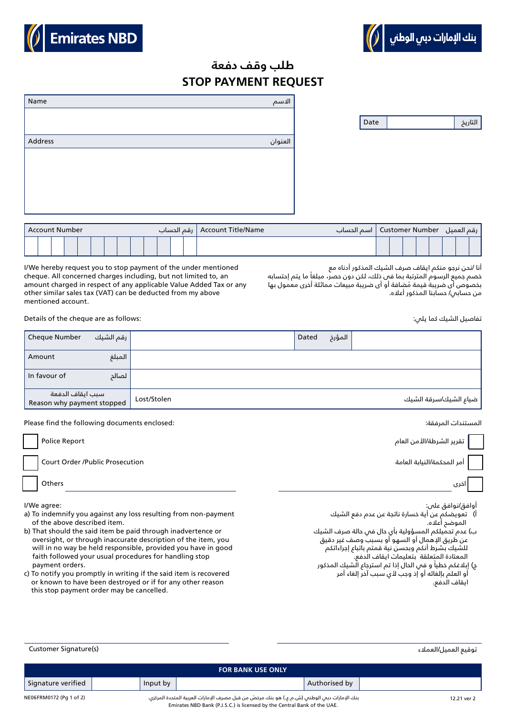



## **STOP PAYMENT REQUEST طلب وقف دفعة**

| Account Number |  |  |  |  |  |  |  |  |  | Account Title/Name   رقم الحساب |  |  | رقم العميل   Customer Number   اسم الحساب |  |  |  |  |  |  |  |
|----------------|--|--|--|--|--|--|--|--|--|---------------------------------|--|--|-------------------------------------------|--|--|--|--|--|--|--|
|                |  |  |  |  |  |  |  |  |  |                                 |  |  |                                           |  |  |  |  |  |  |  |

I/We hereby request you to stop payment of the under mentioned cheque. All concerned charges including, but not limited to, an amount charged in respect of any applicable Value Added Tax or any other similar sales tax (VAT) can be deducted from my above mentioned account.

أنا /نحن نرجو منكم ايقاف صرف الشيك المذكور أدناه مع

خصم جميع الرسوم المترتبة بما فى ذلك، لكن دون حصر، مبلغاً ما يتم إحتسابه ُ بخصوص أى ضريبة قيمة مضافة أو أى ضريبة مبيعات مماثلة أخرى معمول بها من حسابي/ حسابنا المذكور أعاله.

Details of the cheque are as follows:

| Cheque Number                                  | رقم الشيك |             | Dated | المؤرخ |                       |
|------------------------------------------------|-----------|-------------|-------|--------|-----------------------|
| Amount                                         | المبلغ    |             |       |        |                       |
| In favour of                                   | الصالد    |             |       |        |                       |
| سبب ايقاف الدفعة<br>Reason why payment stopped |           | Lost/Stolen |       |        | ضياع الشيك/سرقة الشيك |

Please find the following documents enclosed: :المرفقة المستندات

| Police Report                          | تقرير الشرطة/الأمن العام   |
|----------------------------------------|----------------------------|
| <b>Court Order /Public Prosecution</b> | أمر المحكمة/النيابة العامة |
| Others                                 | اخرى                       |
| I/We agree:                            | أوافق/نوافق على:           |

- a) To indemnify you against any loss resulting from non-payment of the above described item.
- b) That should the said item be paid through inadvertence or oversight, or through inaccurate description of the item, you will in no way be held responsible, provided you have in good faith followed your usual procedures for handling stop payment orders.
- c) To notify you promptly in writing if the said item is recovered or known to have been destroyed or if for any other reason this stop payment order may be cancelled.

أ( تعويضكم عن أية خسارة ناتجة عن عدم دفع الشيك الموضح أعاله.

تفاصيل الشيك كما يلي:

- ب) عدم تحميلكم المسؤولية بأي حال في حالة صرف الشيك عن طريق اإلهمال أو السهو أو بسبب وصف غير دقيق للشيك بشرط أنكم وبحسن نية قمتم باتباع إجراءاتكم المعتادة المتعلقة بتعليمات ايقاف الدفع.
- ج) إبلاغكم خطياً و فمي الحال إذا تم استرجاع الشيك المذكور أو العلم بإلغائه أو إذ وجب ألي سبب آخر إلغاء أمر ايقاف الدفع.

توقيع العميل/العملاء (s) (Sustomer Signature Comments (s) which is a set of the customer Signature Cu

|             |               | <b>FOR BANK USE ONLY</b>                                                                                                                                                |          |                         |
|-------------|---------------|-------------------------------------------------------------------------------------------------------------------------------------------------------------------------|----------|-------------------------|
|             | Authorised by |                                                                                                                                                                         | Input by | Signature verified      |
| 12.21 ver 2 |               | بنك الإمارات دبس الوطنس (ش.م.ع.) هو بنك مرخصّ من قبل مصرف الإمارات العربية المتحدة المركزي.<br>Emirates NBD Bank (P.J.S.C.) is licensed by the Central Bank of the UAE. |          | NE06FRM0172 (Pa 1 of 2) |